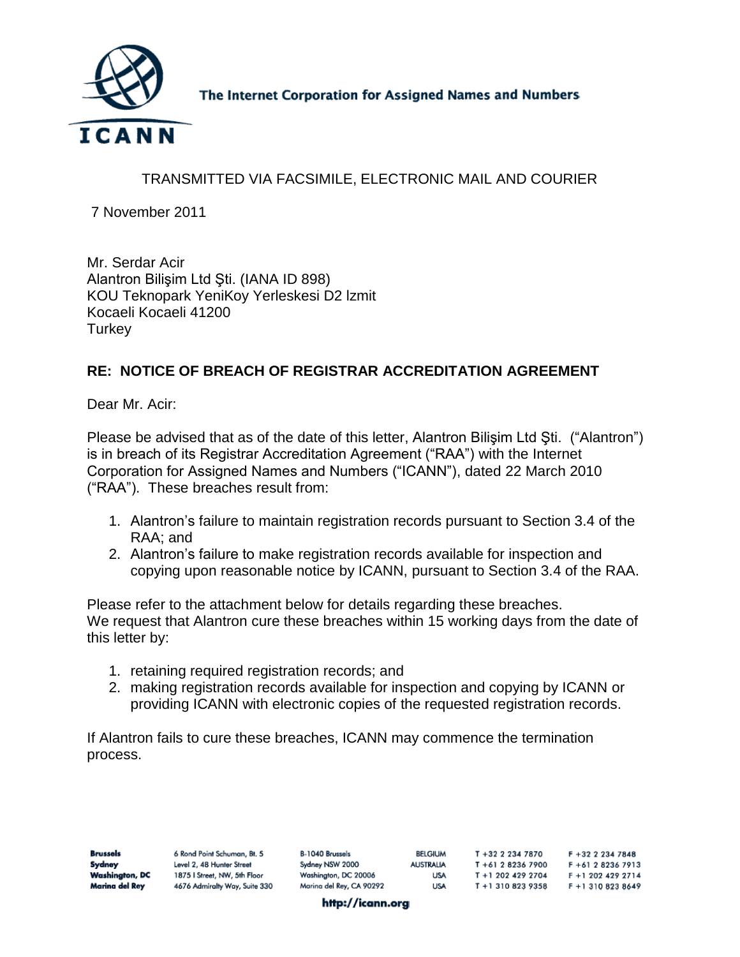

The Internet Corporation for Assigned Names and Numbers

## TRANSMITTED VIA FACSIMILE, ELECTRONIC MAIL AND COURIER

7 November 2011

Mr. Serdar Acir Alantron Bilişim Ltd Şti. (IANA ID 898) KOU Teknopark YeniKoy Yerleskesi D2 lzmit Kocaeli Kocaeli 41200 **Turkey** 

## **RE: NOTICE OF BREACH OF REGISTRAR ACCREDITATION AGREEMENT**

Dear Mr. Acir:

Please be advised that as of the date of this letter, Alantron Bilişim Ltd Şti. ("Alantron") is in breach of its Registrar Accreditation Agreement ("RAA") with the Internet Corporation for Assigned Names and Numbers ("ICANN"), dated 22 March 2010 ("RAA"). These breaches result from:

- 1. Alantron's failure to maintain registration records pursuant to Section 3.4 of the RAA; and
- 2. Alantron's failure to make registration records available for inspection and copying upon reasonable notice by ICANN, pursuant to Section 3.4 of the RAA.

Please refer to the attachment below for details regarding these breaches. We request that Alantron cure these breaches within 15 working days from the date of this letter by:

- 1. retaining required registration records; and
- 2. making registration records available for inspection and copying by ICANN or providing ICANN with electronic copies of the requested registration records.

If Alantron fails to cure these breaches, ICANN may commence the termination process.

| Brussels       | 6 Rond Point Schuman, Bt. 5   | B-1040 Brussels          | BELGIUM          | T +32 2 234 7870  | $F + 32$ 2 234 7848 |
|----------------|-------------------------------|--------------------------|------------------|-------------------|---------------------|
| Sydney         | Level 2, 48 Hunter Street     | Sydney NSW 2000          | <b>AUSTRALIA</b> | T +61 2 8236 7900 | F +61 2 8236 7913   |
| Washington, DC | 1875   Street, NW, 5th Floor  | Washington, DC 20006     | <b>USA</b>       | T +1 202 429 2704 | F +1 202 429 2714   |
| Marina del Rey | 4676 Admiralty Way, Suite 330 | Marina del Rey, CA 90292 | <b>USA</b>       | T +1 310 823 9358 | F +1 310 823 8649   |
|                |                               |                          |                  |                   |                     |

http://icann.org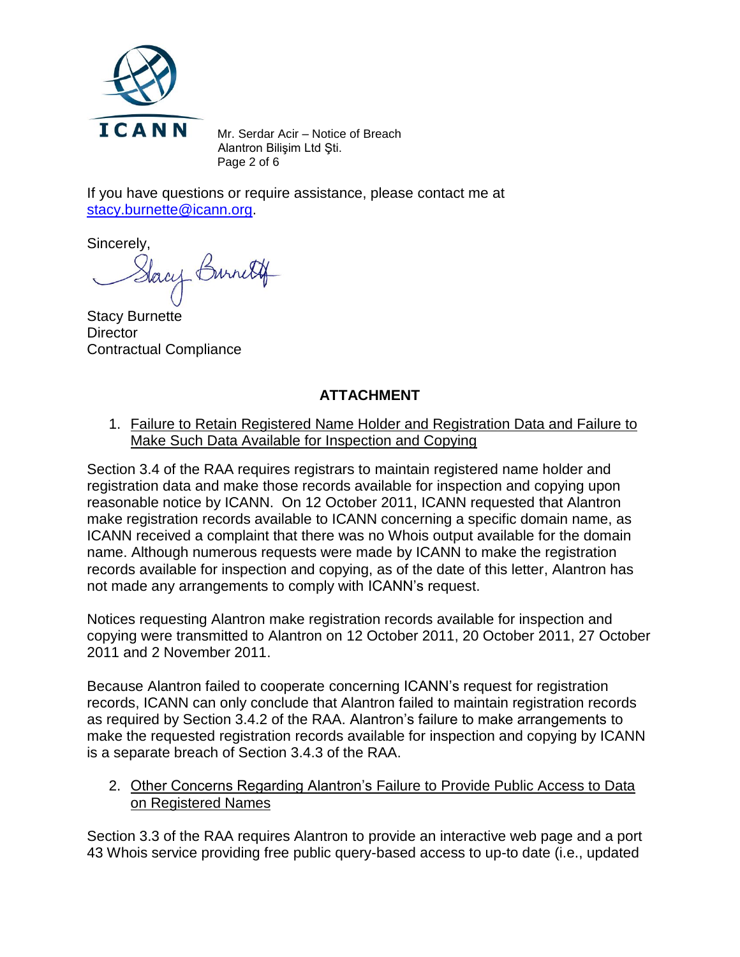

Mr. Serdar Acir – Notice of Breach Alantron Bilişim Ltd Şti. Page 2 of 6

If you have questions or require assistance, please contact me at [stacy.burnette@icann.org.](mailto:stacy.burnette@icann.org)

Sincerely,

lacy Burnett

Stacy Burnette **Director** Contractual Compliance

## **ATTACHMENT**

1. Failure to Retain Registered Name Holder and Registration Data and Failure to Make Such Data Available for Inspection and Copying

Section 3.4 of the RAA requires registrars to maintain registered name holder and registration data and make those records available for inspection and copying upon reasonable notice by ICANN. On 12 October 2011, ICANN requested that Alantron make registration records available to ICANN concerning a specific domain name, as ICANN received a complaint that there was no Whois output available for the domain name. Although numerous requests were made by ICANN to make the registration records available for inspection and copying, as of the date of this letter, Alantron has not made any arrangements to comply with ICANN's request.

Notices requesting Alantron make registration records available for inspection and copying were transmitted to Alantron on 12 October 2011, 20 October 2011, 27 October 2011 and 2 November 2011.

Because Alantron failed to cooperate concerning ICANN's request for registration records, ICANN can only conclude that Alantron failed to maintain registration records as required by Section 3.4.2 of the RAA. Alantron's failure to make arrangements to make the requested registration records available for inspection and copying by ICANN is a separate breach of Section 3.4.3 of the RAA.

2. Other Concerns Regarding Alantron's Failure to Provide Public Access to Data on Registered Names

Section 3.3 of the RAA requires Alantron to provide an interactive web page and a port 43 Whois service providing free public query-based access to up-to date (i.e., updated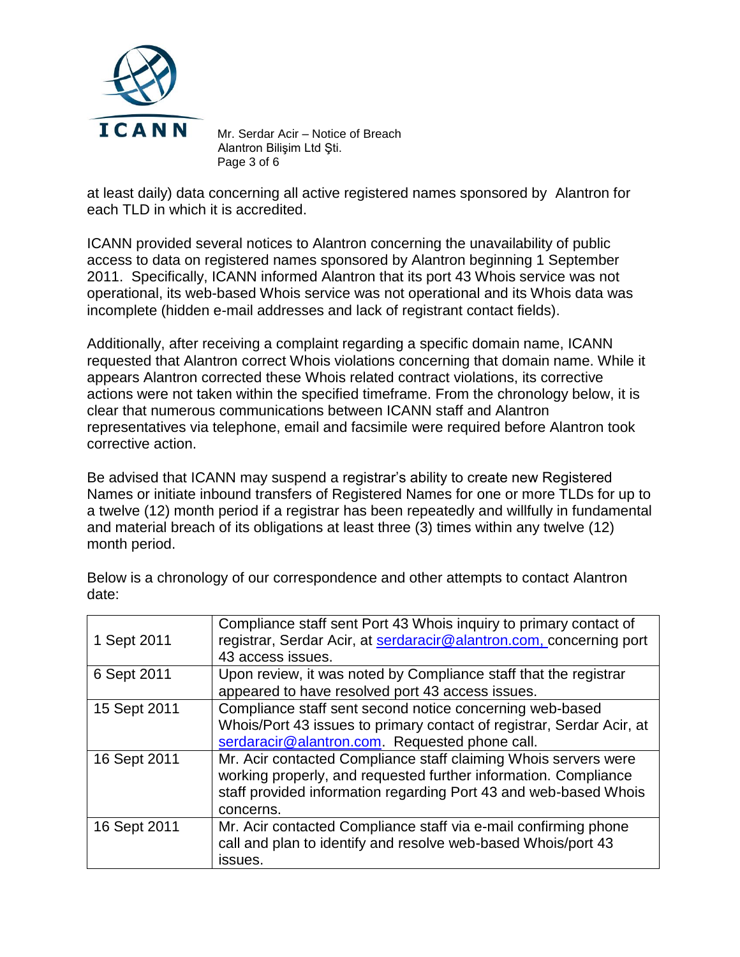

Mr. Serdar Acir – Notice of Breach Alantron Bilişim Ltd Şti. Page 3 of 6

at least daily) data concerning all active registered names sponsored by Alantron for each TLD in which it is accredited.

ICANN provided several notices to Alantron concerning the unavailability of public access to data on registered names sponsored by Alantron beginning 1 September 2011. Specifically, ICANN informed Alantron that its port 43 Whois service was not operational, its web-based Whois service was not operational and its Whois data was incomplete (hidden e-mail addresses and lack of registrant contact fields).

Additionally, after receiving a complaint regarding a specific domain name, ICANN requested that Alantron correct Whois violations concerning that domain name. While it appears Alantron corrected these Whois related contract violations, its corrective actions were not taken within the specified timeframe. From the chronology below, it is clear that numerous communications between ICANN staff and Alantron representatives via telephone, email and facsimile were required before Alantron took corrective action.

Be advised that ICANN may suspend a registrar's ability to create new Registered Names or initiate inbound transfers of Registered Names for one or more TLDs for up to a twelve (12) month period if a registrar has been repeatedly and willfully in fundamental and material breach of its obligations at least three (3) times within any twelve (12) month period.

Below is a chronology of our correspondence and other attempts to contact Alantron date:

| 1 Sept 2011  | Compliance staff sent Port 43 Whois inquiry to primary contact of<br>registrar, Serdar Acir, at serdaracir@alantron.com, concerning port<br>43 access issues.                                                       |
|--------------|---------------------------------------------------------------------------------------------------------------------------------------------------------------------------------------------------------------------|
| 6 Sept 2011  | Upon review, it was noted by Compliance staff that the registrar<br>appeared to have resolved port 43 access issues.                                                                                                |
| 15 Sept 2011 | Compliance staff sent second notice concerning web-based<br>Whois/Port 43 issues to primary contact of registrar, Serdar Acir, at<br>serdaracir@alantron.com. Requested phone call.                                 |
| 16 Sept 2011 | Mr. Acir contacted Compliance staff claiming Whois servers were<br>working properly, and requested further information. Compliance<br>staff provided information regarding Port 43 and web-based Whois<br>concerns. |
| 16 Sept 2011 | Mr. Acir contacted Compliance staff via e-mail confirming phone<br>call and plan to identify and resolve web-based Whois/port 43<br>issues.                                                                         |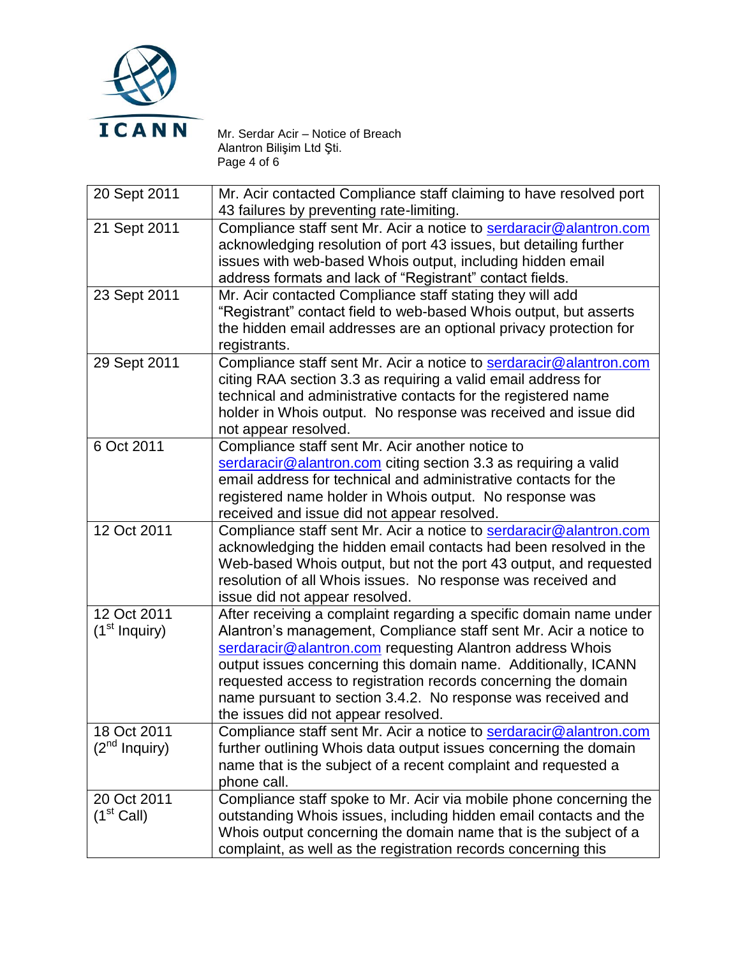

Mr. Serdar Acir – Notice of Breach Alantron Bilişim Ltd Şti. Page 4 of 6

| 20 Sept 2011    | Mr. Acir contacted Compliance staff claiming to have resolved port |
|-----------------|--------------------------------------------------------------------|
|                 | 43 failures by preventing rate-limiting.                           |
| 21 Sept 2011    | Compliance staff sent Mr. Acir a notice to serdaracir@alantron.com |
|                 | acknowledging resolution of port 43 issues, but detailing further  |
|                 | issues with web-based Whois output, including hidden email         |
|                 | address formats and lack of "Registrant" contact fields.           |
| 23 Sept 2011    | Mr. Acir contacted Compliance staff stating they will add          |
|                 | "Registrant" contact field to web-based Whois output, but asserts  |
|                 | the hidden email addresses are an optional privacy protection for  |
|                 | registrants.                                                       |
| 29 Sept 2011    | Compliance staff sent Mr. Acir a notice to serdaracir@alantron.com |
|                 | citing RAA section 3.3 as requiring a valid email address for      |
|                 | technical and administrative contacts for the registered name      |
|                 | holder in Whois output. No response was received and issue did     |
|                 | not appear resolved.                                               |
| 6 Oct 2011      | Compliance staff sent Mr. Acir another notice to                   |
|                 | serdaracir@alantron.com citing section 3.3 as requiring a valid    |
|                 | email address for technical and administrative contacts for the    |
|                 | registered name holder in Whois output. No response was            |
|                 | received and issue did not appear resolved.                        |
| 12 Oct 2011     | Compliance staff sent Mr. Acir a notice to serdaracir@alantron.com |
|                 | acknowledging the hidden email contacts had been resolved in the   |
|                 | Web-based Whois output, but not the port 43 output, and requested  |
|                 | resolution of all Whois issues. No response was received and       |
|                 | issue did not appear resolved.                                     |
| 12 Oct 2011     | After receiving a complaint regarding a specific domain name under |
| $(1st$ Inquiry) | Alantron's management, Compliance staff sent Mr. Acir a notice to  |
|                 | serdaracir@alantron.com requesting Alantron address Whois          |
|                 | output issues concerning this domain name. Additionally, ICANN     |
|                 | requested access to registration records concerning the domain     |
|                 | name pursuant to section 3.4.2. No response was received and       |
|                 | the issues did not appear resolved.                                |
| 18 Oct 2011     | Compliance staff sent Mr. Acir a notice to serdaracir@alantron.com |
| $(2nd$ Inquiry) | further outlining Whois data output issues concerning the domain   |
|                 | name that is the subject of a recent complaint and requested a     |
|                 | phone call.                                                        |
| 20 Oct 2011     | Compliance staff spoke to Mr. Acir via mobile phone concerning the |
| $(1st$ Call)    | outstanding Whois issues, including hidden email contacts and the  |
|                 | Whois output concerning the domain name that is the subject of a   |
|                 | complaint, as well as the registration records concerning this     |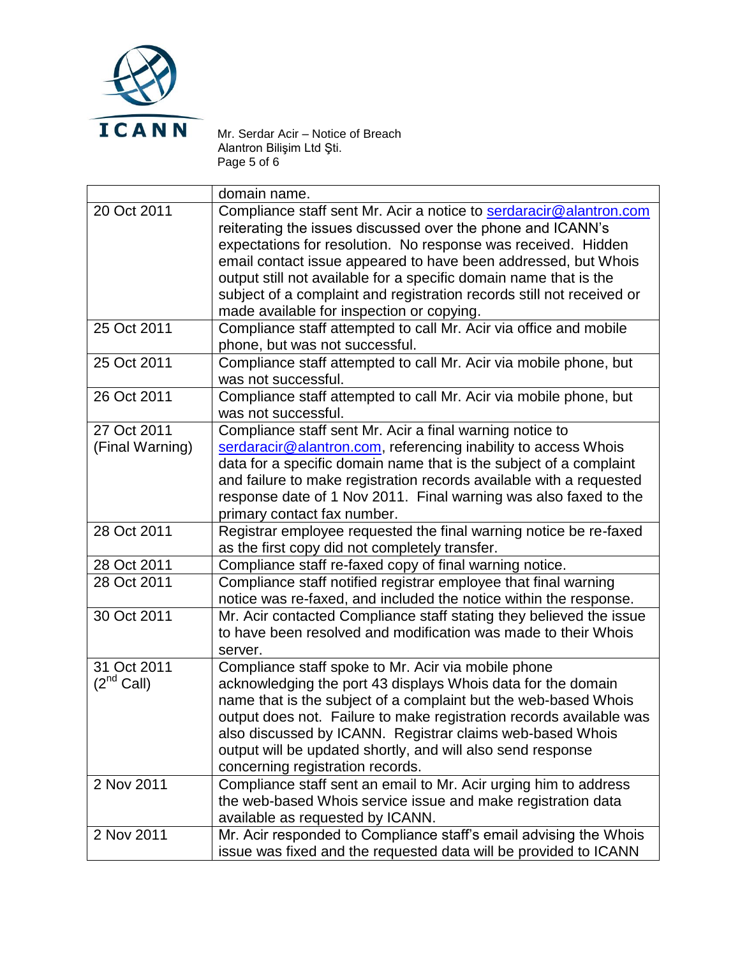

Mr. Serdar Acir – Notice of Breach Alantron Bilişim Ltd Şti. Page 5 of 6

|                 | domain name.                                                                                                                      |
|-----------------|-----------------------------------------------------------------------------------------------------------------------------------|
| 20 Oct 2011     | Compliance staff sent Mr. Acir a notice to serdaracir@alantron.com<br>reiterating the issues discussed over the phone and ICANN's |
|                 | expectations for resolution. No response was received. Hidden                                                                     |
|                 | email contact issue appeared to have been addressed, but Whois                                                                    |
|                 | output still not available for a specific domain name that is the                                                                 |
|                 | subject of a complaint and registration records still not received or                                                             |
|                 | made available for inspection or copying.                                                                                         |
| 25 Oct 2011     | Compliance staff attempted to call Mr. Acir via office and mobile                                                                 |
|                 | phone, but was not successful.                                                                                                    |
| 25 Oct 2011     | Compliance staff attempted to call Mr. Acir via mobile phone, but                                                                 |
|                 | was not successful.                                                                                                               |
| 26 Oct 2011     | Compliance staff attempted to call Mr. Acir via mobile phone, but                                                                 |
|                 | was not successful.                                                                                                               |
| 27 Oct 2011     | Compliance staff sent Mr. Acir a final warning notice to                                                                          |
| (Final Warning) | serdaracir@alantron.com, referencing inability to access Whois                                                                    |
|                 | data for a specific domain name that is the subject of a complaint                                                                |
|                 | and failure to make registration records available with a requested                                                               |
|                 | response date of 1 Nov 2011. Final warning was also faxed to the                                                                  |
|                 | primary contact fax number.                                                                                                       |
| 28 Oct 2011     | Registrar employee requested the final warning notice be re-faxed                                                                 |
|                 | as the first copy did not completely transfer.                                                                                    |
| 28 Oct 2011     | Compliance staff re-faxed copy of final warning notice.                                                                           |
| 28 Oct 2011     | Compliance staff notified registrar employee that final warning                                                                   |
|                 | notice was re-faxed, and included the notice within the response.                                                                 |
| 30 Oct 2011     | Mr. Acir contacted Compliance staff stating they believed the issue                                                               |
|                 | to have been resolved and modification was made to their Whois                                                                    |
|                 | server.                                                                                                                           |
| 31 Oct 2011     | Compliance staff spoke to Mr. Acir via mobile phone                                                                               |
| $(2^{nd}$ Call) | acknowledging the port 43 displays Whois data for the domain                                                                      |
|                 | name that is the subject of a complaint but the web-based Whois                                                                   |
|                 | output does not. Failure to make registration records available was                                                               |
|                 | also discussed by ICANN. Registrar claims web-based Whois                                                                         |
|                 | output will be updated shortly, and will also send response                                                                       |
|                 | concerning registration records.                                                                                                  |
| 2 Nov 2011      | Compliance staff sent an email to Mr. Acir urging him to address                                                                  |
|                 | the web-based Whois service issue and make registration data                                                                      |
|                 | available as requested by ICANN.                                                                                                  |
| 2 Nov 2011      | Mr. Acir responded to Compliance staff's email advising the Whois                                                                 |
|                 | issue was fixed and the requested data will be provided to ICANN                                                                  |